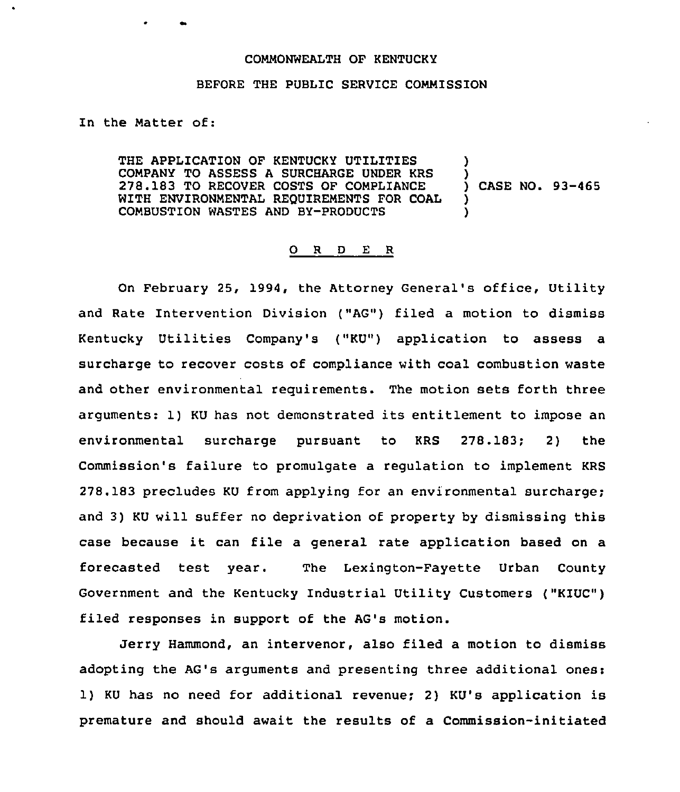## COMMONWEALTH OF KENTUCKY

## BEFORE THE PUBLIC SERVICE COMMISSION

In the Matter of:

THE APPLICATION OF KENTUCKY UTILITIES COMPANY TO ASSESS A SURCHARGE UNDER KRS 278.183 TO RECOVER COSTS OF COMPLIANCE WITH ENVIRONMENTAL REQUIREMENTS FOR COAL COMBUSTION WASTES AND BY-PRODUCTS ) ) ) CASE NO. 93-465 ) )

## 0 <sup>R</sup> <sup>D</sup> <sup>E</sup> <sup>R</sup>

On February 25, 1994, the Attorney General's office, Utility and Rate Intervention Division ("AG") filed a motion to dismiss Kentucky Utilities Company's ("KU") application to assess a surcharge to recover costs of compliance with coal combustion waste and other environmental requirements. The motion sets forth three arguments: 1) KU has not demonstrated its entitlement to impose an environmental surcharge pursuant to KRS 278.183; 2) the Commission's failure to promulgate a regulation to implement KRS 278.183 precludes KU from applying for an environmental surcharge; and 3) KU will suffer no deprivation of property by dismissing this case because it can file <sup>a</sup> general rate application based on <sup>a</sup> forecasted test year. The Lexington-Fayette Urban County Government and the Kentucky Industrial Utility Customers ("KIUC") filed responses in support of the AG's motion.

Jerry Hammond, an intervenor, also filed a motion to dismiss adopting the AG's arguments and presenting three additional ones: 1) KU has no need for additional revenue; 2) KU's application is premature and should await the results of a Commission-initiated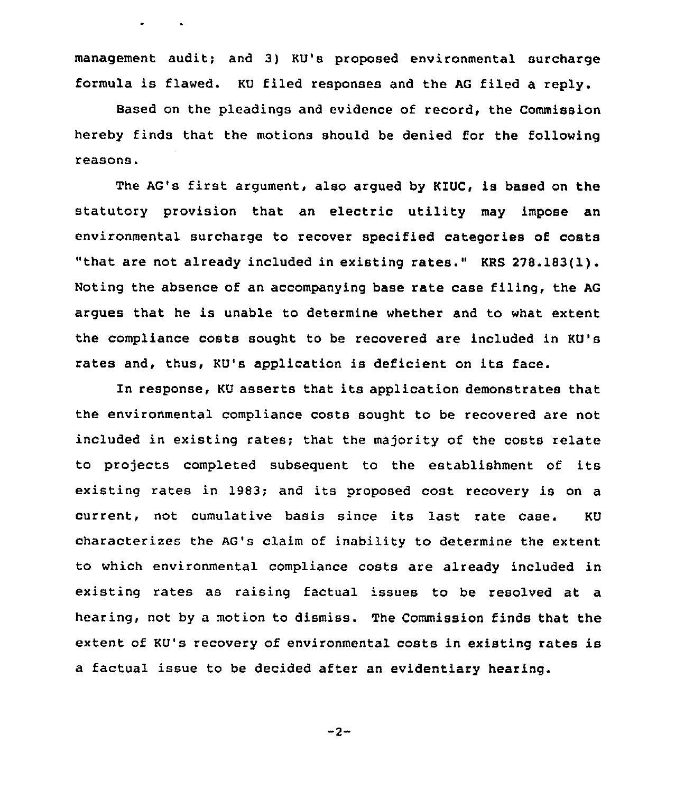management audit; and 3) KU's proposed environmental surcharge formula is flawed. KU filed responses and the AG filed a reply.

Based on the pleadings and evidence of record, the Commission hereby finds that the motions should be denied for the following reasons.

The AG's first argument, also argued by KIUC, is based on the statutory provision that an electric utility may impose an environmental surcharge to recover specified categories of costs "that are not already included in existing rates." KRS 278.183(1). Noting the absence of an accompanying base rate case filing, the AG argues that he is unable to determine whether and to what extent the compliance costs sought to be recovered are included in KU's rates and, thus, KU's application is deficient on its face.

In response, KU asserts that its application demonstrates that the environmental compliance costs sought to be recovered are not included in existing rates; that the majority of the costs relate to projects completed subsequent to the establishment of its existing rates in 1983; and its proposed cost recovery is on a current, not cumulative basis since its last rate case. KU characterizes the AG's claim of inability to determine the extent to which environmental compliance costs are already included in existing rates as raising factual issues to be resolved at a hearing, not by a motion to dismiss. The Commission finds that the extent of KU's recovery of environmental costs in existing rates is a factual issue to be decided after an evidentiary hearing.

$$
-2 -
$$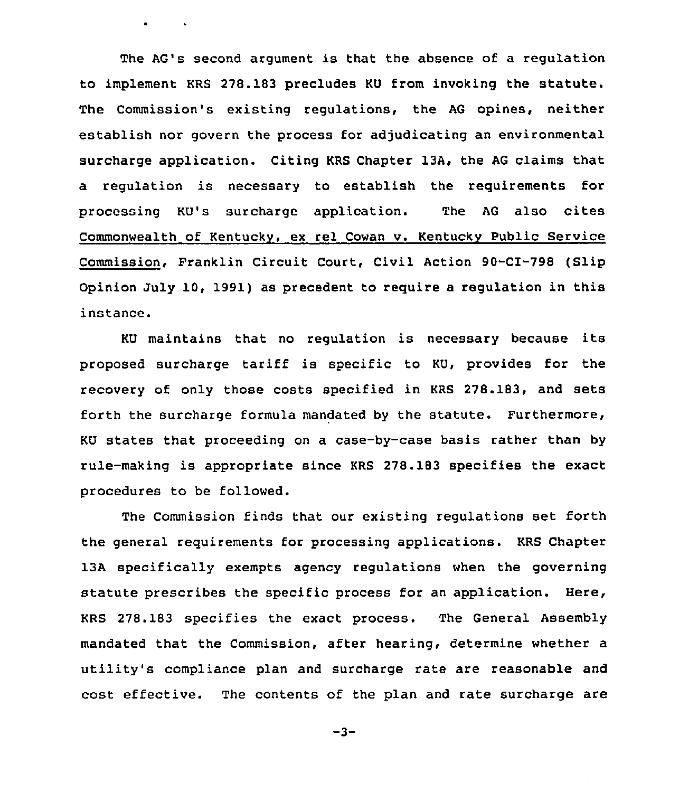The AG's second argument is that the absence of a regulation to implement KRS 278.183 precludes KU from invoking the statute. The Commission's existing regulations, the AG opines, neither establish nor govern the process for adjudicating an environmental surcharge application. Citing KRS Chapter 13A, the AG claims that a regulation is necessary to establish the requirements for processing KU's surcharge application. The AG also cites Commonwealth of Kentucky, ex rel Cowan v. Kentucky Public Service Commission, Franklin Circuit Court, Civil Action 90-CI-798 (Slip Opinion July 10, 1991) as precedent to require a regulation in this instance.

KU maintains that no regulation is necessary because its proposed surcharge tariff is specific to KU, provides for the recovery of only those costs specified in KRS 278.183, and sets forth the surcharge formula mandated by the statute. Furthermore, KU states that proceeding on a case-by-case basis rather than by rule-making is appropriate since KRS 278.183 specifies the exact procedures to be followed.

The Commission finds that our existing regulations set forth the general requirements for processing applications. KRS Chapter 13A specifically exempts agency regulations when the governing statute prescribes the specific process for an application. Here, KRS 278.183 specifies the exact process. The General Assembly mandated that the Commission, after hearing, determine whether a utility's compliance plan and surcharge rate are reasonable and cost effective. The contents of the plan and rate surcharge are

 $-3-$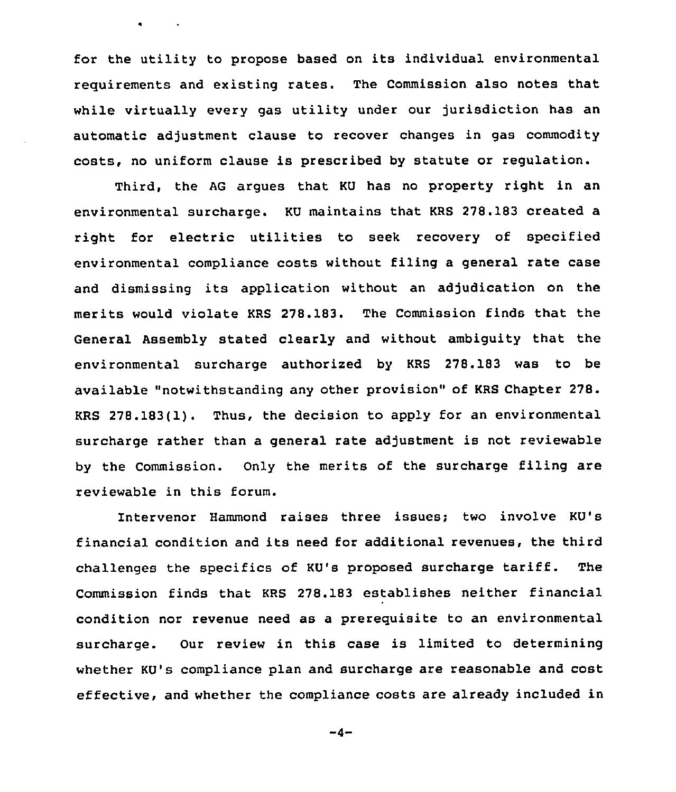for the utility to propose based on its individual environmental requirements and existing rates. The Commission also notes that while virtually every gas utility under our jurisdiction has an automatic adjustment clause to recover changes in gas commodity costs, no uniform clause is prescribed by statute or regulation.

Third, the AG argues that KU has no property right in an environmental surcharge. KU maintains that KRS 278.183 created a right for electric utilities to seek recovery of specified environmental compliance costs without filing a general rate case and dismissing its application without an adjudication on the merits would violate KRS 278.183. The Commission finds that the General Assembly stated clearly and without ambiguity that the environmental surcharge authorized by KRS 278.183 was to be available "notwithstanding any other provision" of KRS Chapter 278. KRS 278.183(1). Thus, the decision to apply for an environmental surcharge rather than a general rate adjustment is not reviewable by the Commission. Only the merits of the surcharge filing are reviewable in this forum.

Intervenor Hammond raises three issues; two involve KU's financial condition and its need for additional revenues, the third challenges the specifics of KU's proposed surcharge tariff. The Commission finds that KRS 278.183 establishes neither financial condition nor revenue need as a prerequisite to an environmental surcharge. Our review in this case is limited to determining whether KU's compliance plan and surcharge are reasonable and cost effective, and whether the compliance costs are already included in

 $-4-$